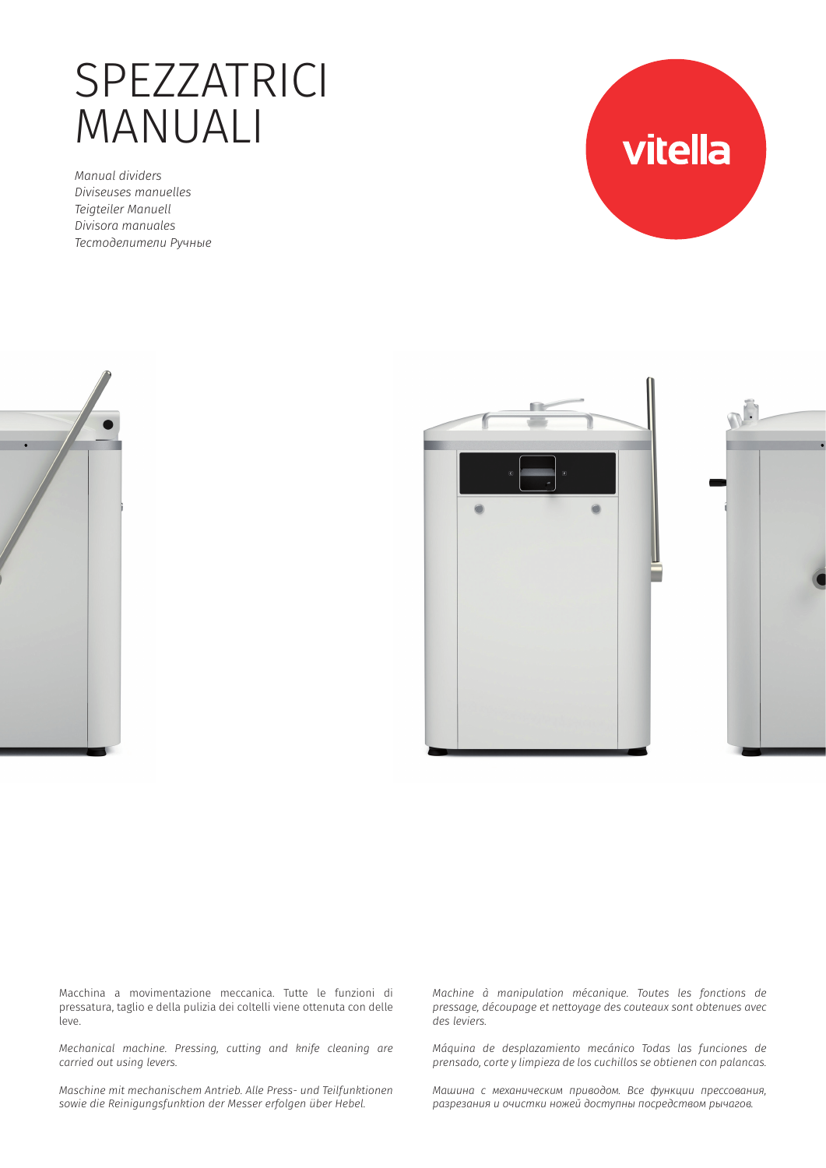# SPEZZATRICI MANUALI

*Manual dividers Diviseuses manuelles Teigteiler Manuell Divisora manuales Тестоделители Ручные*









Macchina a movimentazione meccanica. Tutte le funzioni di pressatura, taglio e della pulizia dei coltelli viene ottenuta con delle leve.

*Mechanical machine. Pressing, cutting and knife cleaning are carried out using levers.* 

*Maschine mit mechanischem Antrieb. Alle Press- und Teilfunktionen sowie die Reinigungsfunktion der Messer erfolgen über Hebel.* 

*Machine à manipulation mécanique. Toutes les fonctions de pressage, découpage et nettoyage des couteaux sont obtenues avec des leviers.* 

*Máquina de desplazamiento mecánico Todas las funciones de prensado, corte y limpieza de los cuchillos se obtienen con palancas.* 

*Машина с механическим приводом. Все функции прессования, разрезания и очистки ножей доступны посредством рычагов.*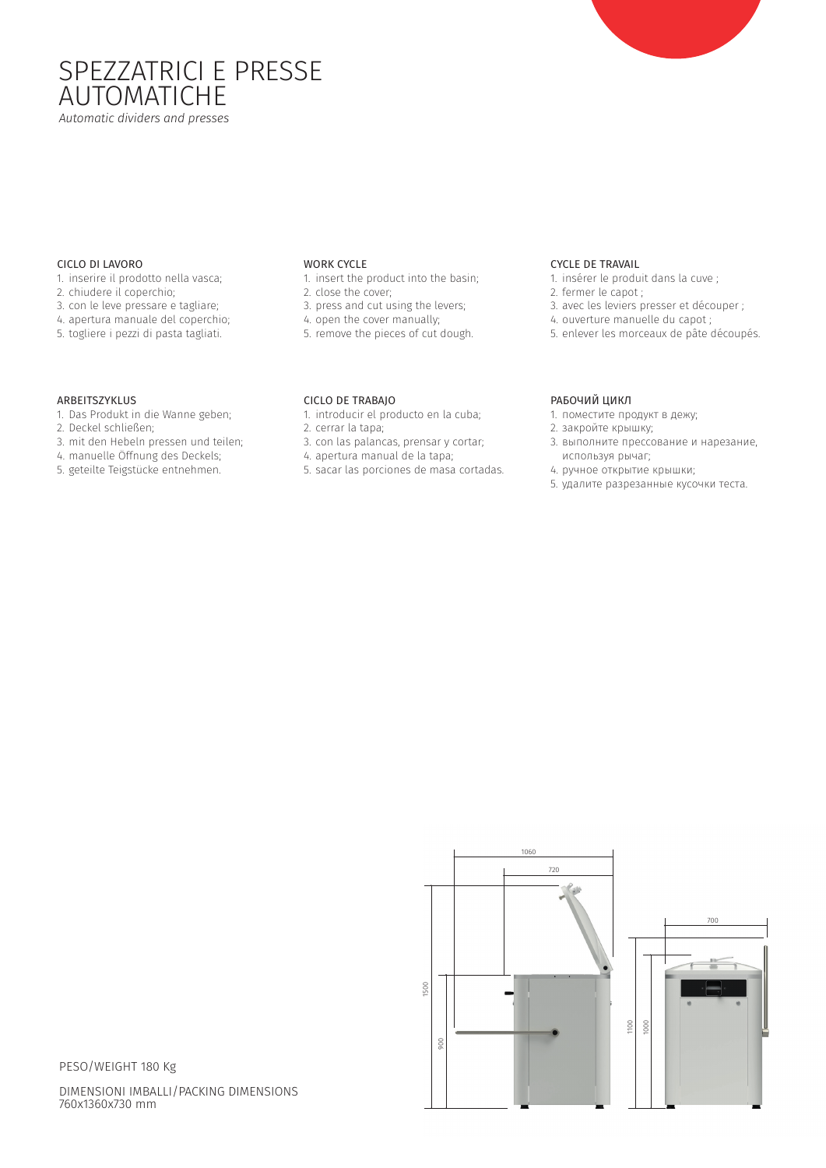## SPEZZATRICI E PRESSE AUTOMATICHE *Automatic dividers and presses*

### CICLO DI LAVORO

- 1. inserire il prodotto nella vasca;
- 2. chiudere il coperchio;
- 3. con le leve pressare e tagliare;
- 4. apertura manuale del coperchio;
- 5. togliere i pezzi di pasta tagliati.

### WORK CYCLE

- 1. insert the product into the basin;
- 2. close the cover;
- 3. press and cut using the levers;
- 4. open the cover manually;
- 5. remove the pieces of cut dough.

### CYCLE DE TRAVAIL

- 1. insérer le produit dans la cuve ;
- 2. fermer le capot ;
- 3. avec les leviers presser et découper ;
- 4. ouverture manuelle du capot ;
- 5. enlever les morceaux de pâte découpés.

### ARBEITSZYKLUS

- 1. Das Produkt in die Wanne geben;
- 2. Deckel schließen;
- 3. mit den Hebeln pressen und teilen;
- 4. manuelle Öffnung des Deckels;
- 5. geteilte Teigstücke entnehmen.

- 
- 
- 3. con las palancas, prensar y cortar;
- 
- 

1500

### РАБОЧИЙ ЦИКЛ

- 1. поместите продукт в дежу;
- 2. закройте крышку;
- 3. выполните прессование и нарезание, используя рычаг;
- 4. ручное открытие крышки;
- 5. удалите разрезанные кусочки теста.





PESO/WEIGHT 180 Kg

DIMENSIONI IMBALLI/PACKING DIMENSIONS 760x1360x730 mm

# CICLO DE TRABAJO

- 1. introducir el producto en la cuba;
- 2. cerrar la tapa;
- 
- 4. apertura manual de la tapa;
- 5. sacar las porciones de masa cortadas.